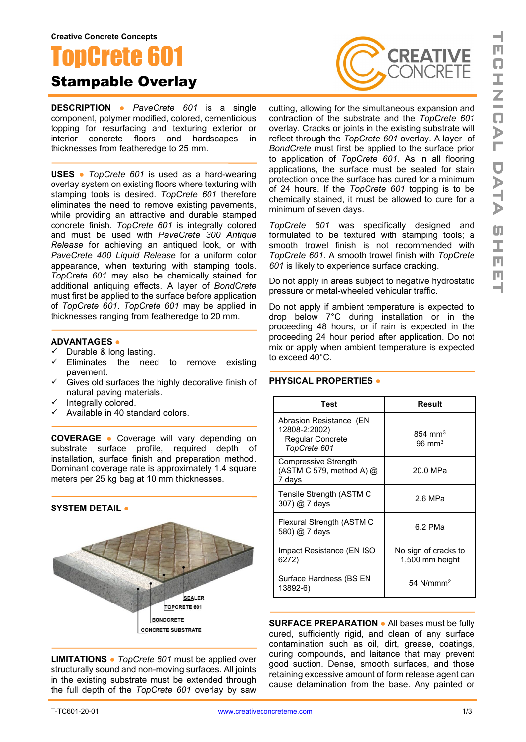# oncrete 60 Stampable Overlay

**DESCRIPTION ●** *PaveCrete 601* is a single component, polymer modified, colored, cementicious topping for resurfacing and texturing exterior or interior concrete floors and hardscapes in thicknesses from featheredge to 25 mm.

**USES ●** *TopCrete 601* is used as a hard-wearing overlay system on existing floors where texturing with stamping tools is desired. *TopCrete 601* therefore eliminates the need to remove existing pavements, while providing an attractive and durable stamped concrete finish. *TopCrete 601* is integrally colored and must be used with *PaveCrete 300 Antique Release* for achieving an antiqued look, or with *PaveCrete 400 Liquid Release* for a uniform color appearance, when texturing with stamping tools. *TopCrete 601* may also be chemically stained for additional antiquing effects. A layer of *BondCrete* must first be applied to the surface before application of *TopCrete 601*. *TopCrete 601* may be applied in thicknesses ranging from featheredge to 20 mm.

#### **ADVANTAGES ●**

- $\checkmark$  Durable & long lasting.<br> $\checkmark$  Eliminates the need
- Eliminates the need to remove existing pavement.
- $\checkmark$  Gives old surfaces the highly decorative finish of natural paving materials.
- Integrally colored.
- $\checkmark$  Available in 40 standard colors.

**COVERAGE ●** Coverage will vary depending on substrate surface profile, required depth of installation, surface finish and preparation method. Dominant coverage rate is approximately 1.4 square meters per 25 kg bag at 10 mm thicknesses.



**LIMITATIONS ●** *TopCrete 601* must be applied over structurally sound and non-moving surfaces. All joints in the existing substrate must be extended through the full depth of the *TopCrete 601* overlay by saw



cutting, allowing for the simultaneous expansion and contraction of the substrate and the *TopCrete 601* overlay. Cracks or joints in the existing substrate will reflect through the *TopCrete 601* overlay. A layer of *BondCrete* must first be applied to the surface prior to application of *TopCrete 601*. As in all flooring applications, the surface must be sealed for stain protection once the surface has cured for a minimum of 24 hours. If the *TopCrete 601* topping is to be chemically stained, it must be allowed to cure for a minimum of seven days.

*TopCrete 601* was specifically designed and formulated to be textured with stamping tools; a smooth trowel finish is not recommended with *TopCrete 601*. A smooth trowel finish with *TopCrete 601* is likely to experience surface cracking.

Do not apply in areas subject to negative hydrostatic pressure or metal-wheeled vehicular traffic.

Do not apply if ambient temperature is expected to drop below 7°C during installation or in the proceeding 48 hours, or if rain is expected in the proceeding 24 hour period after application. Do not mix or apply when ambient temperature is expected to exceed 40°C.

### **PHYSICAL PROPERTIES ●**

| Test                                                                         | Result                                  |
|------------------------------------------------------------------------------|-----------------------------------------|
| Abrasion Resistance (EN<br>12808-2:2002)<br>Regular Concrete<br>TopCrete 601 | $854 \text{ mm}^3$<br>$96 \text{ mm}^3$ |
| <b>Compressive Strength</b><br>(ASTM C 579, method A) @<br>7 days            | 20.0 MPa                                |
| Tensile Strength (ASTM C<br>307) @ 7 days                                    | 2.6 MPa                                 |
| Flexural Strength (ASTM C<br>580) @ 7 days                                   | 6.2 PMa                                 |
| Impact Resistance (EN ISO<br>6272)                                           | No sign of cracks to<br>1,500 mm height |
| Surface Hardness (BS EN<br>13892-6)                                          | 54 $N/mm2$                              |

**SURFACE PREPARATION ●** All bases must be fully cured, sufficiently rigid, and clean of any surface contamination such as oil, dirt, grease, coatings, curing compounds, and laitance that may prevent good suction. Dense, smooth surfaces, and those retaining excessive amount of form release agent can cause delamination from the base. Any painted or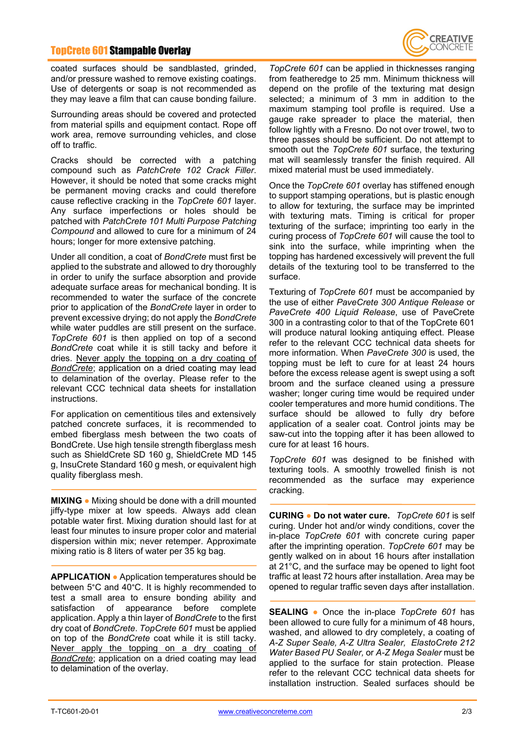## TopCrete 601 Stampable Overlay



coated surfaces should be sandblasted, grinded, and/or pressure washed to remove existing coatings. Use of detergents or soap is not recommended as they may leave a film that can cause bonding failure.

Surrounding areas should be covered and protected from material spills and equipment contact. Rope off work area, remove surrounding vehicles, and close off to traffic.

Cracks should be corrected with a patching compound such as *PatchCrete 102 Crack Filler*. However, it should be noted that some cracks might be permanent moving cracks and could therefore cause reflective cracking in the *TopCrete 601* layer. Any surface imperfections or holes should be patched with *PatchCrete 101 Multi Purpose Patching Compound* and allowed to cure for a minimum of 24 hours; longer for more extensive patching.

Under all condition, a coat of *BondCrete* must first be applied to the substrate and allowed to dry thoroughly in order to unify the surface absorption and provide adequate surface areas for mechanical bonding. It is recommended to water the surface of the concrete prior to application of the *BondCrete* layer in order to prevent excessive drying; do not apply the *BondCrete* while water puddles are still present on the surface. *TopCrete 601* is then applied on top of a second *BondCrete* coat while it is still tacky and before it dries. Never apply the topping on a dry coating of *BondCrete*; application on a dried coating may lead to delamination of the overlay. Please refer to the relevant CCC technical data sheets for installation instructions.

For application on cementitious tiles and extensively patched concrete surfaces, it is recommended to embed fiberglass mesh between the two coats of BondCrete. Use high tensile strength fiberglass mesh such as ShieldCrete SD 160 g, ShieldCrete MD 145 g, InsuCrete Standard 160 g mesh, or equivalent high quality fiberglass mesh.

**MIXING ●** Mixing should be done with a drill mounted jiffy-type mixer at low speeds. Always add clean potable water first. Mixing duration should last for at least four minutes to insure proper color and material dispersion within mix; never retemper. Approximate mixing ratio is 8 liters of water per 35 kg bag.

**APPLICATION ●** Application temperatures should be between 5°C and 40°C. It is highly recommended to test a small area to ensure bonding ability and satisfaction of appearance before complete application. Apply a thin layer of *BondCrete* to the first dry coat of *BondCrete*. *TopCrete 601* must be applied on top of the *BondCrete* coat while it is still tacky. Never apply the topping on a dry coating of *BondCrete*; application on a dried coating may lead to delamination of the overlay.

*TopCrete 601* can be applied in thicknesses ranging from featheredge to 25 mm. Minimum thickness will depend on the profile of the texturing mat design selected; a minimum of 3 mm in addition to the maximum stamping tool profile is required. Use a gauge rake spreader to place the material, then follow lightly with a Fresno. Do not over trowel, two to three passes should be sufficient. Do not attempt to smooth out the *TopCrete 601* surface, the texturing mat will seamlessly transfer the finish required. All mixed material must be used immediately.

Once the *TopCrete 601* overlay has stiffened enough to support stamping operations, but is plastic enough to allow for texturing, the surface may be imprinted with texturing mats. Timing is critical for proper texturing of the surface; imprinting too early in the curing process of *TopCrete 601* will cause the tool to sink into the surface, while imprinting when the topping has hardened excessively will prevent the full details of the texturing tool to be transferred to the surface.

Texturing of *TopCrete 601* must be accompanied by the use of either *PaveCrete 300 Antique Release* or *PaveCrete 400 Liquid Release*, use of PaveCrete 300 in a contrasting color to that of the TopCrete 601 will produce natural looking antiquing effect. Please refer to the relevant CCC technical data sheets for more information. When *PaveCrete 300* is used, the topping must be left to cure for at least 24 hours before the excess release agent is swept using a soft broom and the surface cleaned using a pressure washer; longer curing time would be required under cooler temperatures and more humid conditions. The surface should be allowed to fully dry before application of a sealer coat. Control joints may be saw-cut into the topping after it has been allowed to cure for at least 16 hours.

*TopCrete 601* was designed to be finished with texturing tools. A smoothly trowelled finish is not recommended as the surface may experience cracking.

**CURING ● Do not water cure.** *TopCrete 601* is self curing. Under hot and/or windy conditions, cover the in-place *TopCrete 601* with concrete curing paper after the imprinting operation. *TopCrete 601* may be gently walked on in about 16 hours after installation at 21°C, and the surface may be opened to light foot traffic at least 72 hours after installation. Area may be opened to regular traffic seven days after installation.

**SEALING ●** Once the in-place *TopCrete 601* has been allowed to cure fully for a minimum of 48 hours, washed, and allowed to dry completely, a coating of *A-Z Super Seale, A-Z Ultra Sealer, ElastoCrete 212 Water Based PU Sealer,* or *A-Z Mega Sealer* must be applied to the surface for stain protection. Please refer to the relevant CCC technical data sheets for installation instruction. Sealed surfaces should be